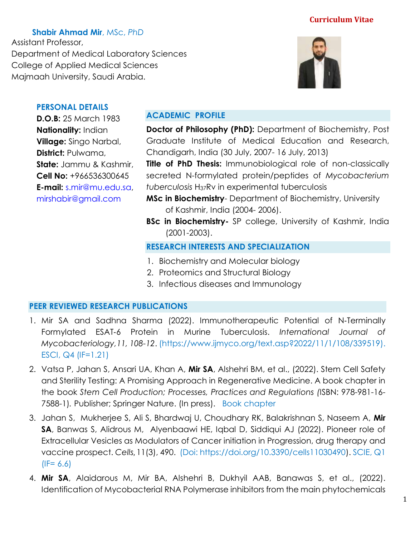**Shabir Ahmad Mir**, MSc, *PhD*

Assistant Professor, Department of Medical Laboratory Sciences College of Applied Medical Sciences Majmaah University, Saudi Arabia.



## **PERSONAL DETAILS**

**D.O.B:** 25 March 1983 **Nationality:** Indian **Village:** Singo Narbal, **District:** Pulwama, **State:** Jammu & Kashmir, **Cell No:** +966536300645 **E-mail:** [s.mir@mu.edu.sa,](mailto:s.mir@mu.edu.sa) [mirshabir@gmail.com](mailto:mirshabir@gmail.com)

## **ACADEMIC PROFILE**

**Doctor of Philosophy (PhD):** Department of Biochemistry, Post Graduate Institute of Medical Education and Research, Chandigarh, India (30 July, 2007- 16 July, 2013)

**Title of PhD Thesis:** Immunobiological role of non-classically secreted N-formylated protein/peptides of *Mycobacterium tuberculosis* H37Rv in experimental tuberculosis

- **MSc in Biochemistry** Department of Biochemistry, University of Kashmir, India (2004- 2006).
- **BSc in Biochemistry-** SP college, University of Kashmir, India (2001-2003).

### **RESEARCH INTERESTS AND SPECIALIZATION**

- 1. Biochemistry and Molecular biology
- 2. Proteomics and Structural Biology
- 3. Infectious diseases and Immunology

### **PEER REVIEWED RESEARCH PUBLICATIONS**

- 1. Mir SA and Sadhna Sharma (2022). Immunotherapeutic Potential of N‑Terminally Formylated ESAT‑6 Protein in Murine Tuberculosis. *International Journal of Mycobacteriology,11, 108-12*. (https://www.ijmyco.org/text.asp?2022/11/1/108/339519). ESCI, Q4 (IF=1.21)
- 2. Vatsa P, Jahan S, Ansari UA, Khan A, **Mir SA**, Alshehri BM, et al., (2022). Stem Cell Safety and Sterility Testing: A Promising Approach in Regenerative Medicine. A book chapter in the book *Stem Cell Production; Processes, Practices and Regulations (*ISBN: 978-981-16- 7588-1)*.* Publisher; Springer Nature. (In press). Book chapter
- 3. Jahan S, Mukherjee S, Ali S, Bhardwaj U, Choudhary RK, Balakrishnan S, Naseem A, **Mir SA**, Banwas S, Alidrous M, Alyenbaawi HE, Iqbal D, Siddiqui AJ (2022). Pioneer role of Extracellular Vesicles as Modulators of Cancer initiation in Progression, drug therapy and vaccine prospect. *Cells*, 11(3), 490. (Doi: [https://doi.org/10.3390/cells11030490\)](https://doi.org/10.3390/cells11030490). SCIE, Q1  $(IF= 6.6)$
- 4. **Mir SA**, Alaidarous M, Mir BA, Alshehri B, Dukhyil AAB, Banawas S, et al., (2022). Identification of Mycobacterial RNA Polymerase inhibitors from the main phytochemicals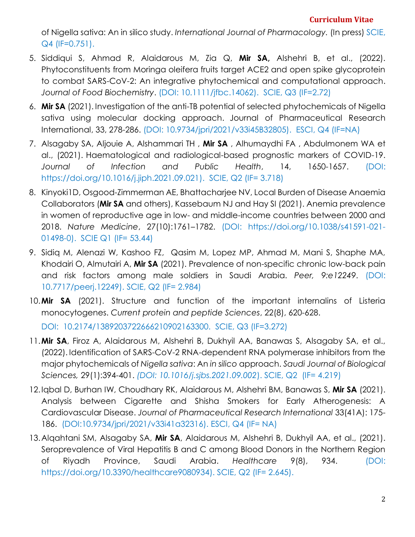of Nigella sativa: An in silico study. *International Journal of Pharmacology.* (In press) SCIE, Q4 (IF=0.751).

- 5. Siddiqui S, Ahmad R, Alaidarous M, Zia Q, **Mir SA,** Alshehri B, et al., (2022). Phytoconstituents from Moringa oleifera fruits target ACE2 and open spike glycoprotein to combat SARS-CoV-2: An integrative phytochemical and computational approach. *Journal of Food Biochemistry*. (DOI: 10.1111/jfbc.14062). SCIE, Q3 (IF=2.72)
- 6. **Mir SA** (2021). Investigation of the anti-TB potential of selected phytochemicals of Nigella sativa using molecular docking approach. Journal of Pharmaceutical Research International, 33, 278-286. (DOI: 10.9734/jpri/2021/v33i45B32805). ESCI, Q4 (IF=NA)
- 7. Alsagaby SA, Aljouie A, Alshammari TH , **Mir SA** , Alhumaydhi FA , Abdulmonem WA et al., (2021). Haematological and radiological-based prognostic markers of COVID-19. *Journal of Infection and Public Health*, 14, 1650-1657. (DOI: [https://doi.org/10.1016/j.jiph.2021.09.021\)](https://doi.org/10.1016/j.jiph.2021.09.021). SCIE, Q2 (IF= 3.718)
- 8. Kinyoki1D, Osgood-Zimmerman AE, Bhattacharjee NV, Local Burden of Disease Anaemia Collaborators (**Mir SA** and others), Kassebaum NJ and Hay SI (2021). Anemia prevalence in women of reproductive age in low- and middle-income countries between 2000 and 2018. *Nature Medicine*, 27(10):1761–1782. (DOI: [https://doi.org/10.1038/s41591-021-](https://doi.org/10.1038/s41591-021-01498-0) [01498-0\)](https://doi.org/10.1038/s41591-021-01498-0). SCIE Q1 (IF= 53.44)
- 9. Sidiq M, Alenazi W, Kashoo FZ, Qasim M, Lopez MP, Ahmad M, Mani S, Shaphe MA, Khodairi O, Almutairi A, **Mir SA** (2021). Prevalence of non-specific chronic low-back pain and risk factors among male soldiers in Saudi Arabia. *Peer, 9:e12249*. (DOI: 10.7717/peerj.12249). SCIE, Q2 (IF= 2.984)
- 10.**Mir SA** (2021). Structure and function of the important internalins of Listeria monocytogenes. *Current protein and peptide Sciences*, 22(8), 620-628.

DOI: 10.2174/1389203722666210902163300. SCIE, Q3 (IF=3.272)

- 11.**Mir SA**, Firoz A, Alaidarous M, Alshehri B, Dukhyil AA, Banawas S, Alsagaby SA, et al., (2022). Identification of SARS-CoV-2 RNA-dependent RNA polymerase inhibitors from the major phytochemicals of *Nigella sativa*: An *in silico* approach. *Saudi Journal of Biological Sciences,* 29(1):394-401. *(DOI: 10.1016/j.sjbs.2021.09.002*). SCIE, Q2 (IF= 4.219)
- 12.Iqbal D, Burhan IW, Choudhary RK, Alaidarous M, Alshehri BM, Banawas S, **Mir SA** (2021). Analysis between Cigarette and Shisha Smokers for Early Atherogenesis: A Cardiovascular Disease. *Journal of Pharmaceutical Research International* 33(41A): 175- 186. (DOI:10.9734/jpri/2021/v33i41a32316). ESCI, Q4 (IF= NA)
- 13.Alqahtani SM, Alsagaby SA, **Mir SA**, Alaidarous M, Alshehri B, Dukhyil AA, et al., (2021). Seroprevalence of Viral Hepatitis B and C among Blood Donors in the Northern Region of Riyadh Province, Saudi Arabia. *Healthcare* 9(8), 934. (DOI: [https://doi.org/10.3390/healthcare9080934\)](https://doi.org/10.3390/healthcare9080934). SCIE, Q2 (IF= 2.645).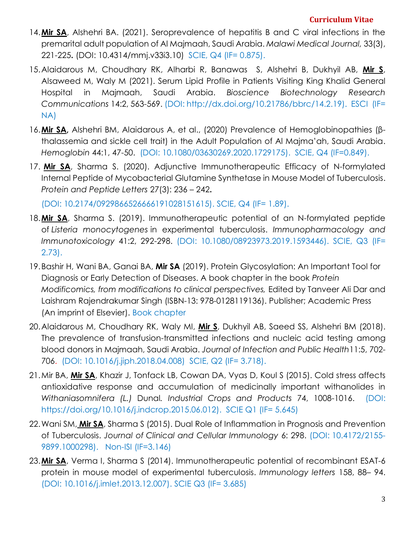- 14.**Mir SA**, Alshehri BA. (2021). Seroprevalence of hepatitis B and C viral infections in the premarital adult population of Al Majmaah, Saudi Arabia. *Malawi Medical Journal,* 33(3), 221-225**.** (DOI: 10.4314/mmj.v33i3.10)SCIE, Q4 (IF= 0.875).
- 15.Alaidarous M, Choudhary RK, Alharbi R, Banawas S, Alshehri B, Dukhyil AB, **Mir S**, Alsaweed M, Waly M (2021). Serum Lipid Profile in Patients Visiting King Khalid General Hospital in Majmaah, Saudi Arabia. *Bioscience Biotechnology Research Communications* 14:2, 563-569. (DOI: http://dx.doi.org/10.21786/bbrc/14.2.19). ESCI (IF= NA)
- 16.**Mir SA,** Alshehri BM, Alaidarous A, et al., (2020) Prevalence of Hemoglobinopathies (βthalassemia and sickle cell trait) in the Adult Population of Al Majma'ah, Saudi Arabia. *Hemoglobin* 44:1, 47-50. (DOI: 10.1080/03630269.2020.1729175). SCIE, Q4 (IF=0.849).
- 17. **Mir SA**, Sharma S. (2020). Adjunctive Immunotherapeutic Efficacy of N-formylated Internal Peptide of Mycobacterial Glutamine Synthetase in Mouse Model of Tuberculosis. *Protein and Peptide Letters* 27(3): 236 – 242**.**

(DOI: 10.2174/0929866526666191028151615). SCIE, Q4 (IF= 1.89).

- 18.**Mir SA**, Sharma S. (2019). Immunotherapeutic potential of an N-formylated peptide of *Listeria monocytogenes* in experimental tuberculosis. *Immunopharmacology and Immunotoxicology* 41:2, 292-298. (DOI: 10.1080/08923973.2019.1593446). SCIE, Q3 (IF= 2.73).
- 19.Bashir H, Wani BA, Ganai BA, **Mir SA** (2019). Protein Glycosylation: An Important Tool for Diagnosis or Early Detection of Diseases. A book chapter in the book *Protein Modificomics, from modifications to clinical perspectives, Edited by Tanveer Ali Dar and* Laishram Rajendrakumar Singh (ISBN-13: 978-0128119136). Publisher; Academic Press (An imprint of Elsevier). Book chapter
- 20.Alaidarous M, Choudhary RK, Waly MI, **Mir S**, Dukhyil AB, Saeed SS, Alshehri BM (2018). The prevalence of transfusion-transmitted infections and nucleic acid testing among blood donors in Majmaah, Saudi Arabia. *[Journal of Infection and Public Health](https://www.journals.elsevier.com/journal-of-infection-and-public-health)*11:5, 702- 706. (DOI: 10.1016/j.jiph.2018.04.008) SCIE, Q2 (IF= 3.718).
- 21.Mir BA, **Mir SA**, Khazir J, Tonfack LB, Cowan DA, Vyas D, Koul S (2015). Cold stress affects antioxidative response and accumulation of medicinally important withanolides in *Withaniasomnifera (L.)* Dunal*. Industrial Crops and Products* 74, 1008-1016. (DOI: [https://doi.org/10.1016/j.indcrop.2015.06.012\)](https://doi.org/10.1016/j.indcrop.2015.06.012). SCIE Q1 (IF= 5.645)
- 22.Wani SM, **Mir SA**, Sharma S (2015). Dual Role of Inflammation in Prognosis and Prevention of Tuberculosis. *Journal of Clinical and Cellular Immunology* 6: 298. (DOI: 10.4172/2155- 9899.1000298). Non-ISI (IF=3.146)
- 23.**Mir SA**, Verma I, Sharma S (2014). Immunotherapeutic potential of recombinant ESAT-6 protein in mouse model of experimental tuberculosis. *Immunology letters* 158, 88– 94. (DOI: 10.1016/j.imlet.2013.12.007). SCIE Q3 (IF= 3.685)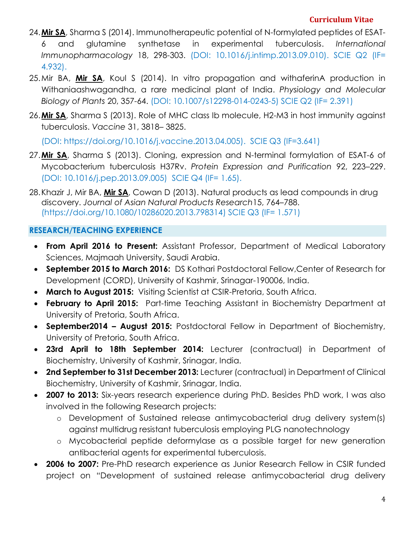- 24.**Mir SA**, Sharma S (2014). Immunotherapeutic potential of N-formylated peptides of ESAT-6 and glutamine synthetase in experimental tuberculosis. *International Immunopharmacology* 18, 298-303. (DOI: 10.1016/j.intimp.2013.09.010). SCIE Q2 (IF= 4.932).
- 25.Mir BA, **Mir SA**, Koul S (2014). In vitro propagation and withaferinA production in Withaniaashwagandha, a rare medicinal plant of India. *Physiology and Molecular Biology of Plants* 20, 357-64. (DOI: 10.1007/s12298-014-0243-5) SCIE Q2 (IF= 2.391)
- 26.**Mir SA**, Sharma S (2013). Role of MHC class Ib molecule, H2-M3 in host immunity against tuberculosis. *Vaccine* 31, 3818– 3825.

(DOI: [https://doi.org/10.1016/j.vaccine.2013.04.005\)](https://doi.org/10.1016/j.vaccine.2013.04.005). SCIE Q3 (IF=3.641)

- 27.**Mir SA**, Sharma S (2013). Cloning, expression and N-terminal formylation of ESAT-6 of Mycobacterium tuberculosis H37Rv. *Protein Expression and Purification* 92, 223–229. (DOI: 10.1016/j.pep.2013.09.005) SCIE Q4 (IF= 1.65).
- 28.Khazir J, Mir BA, **Mir SA**, Cowan D (2013). Natural products as lead compounds in drug discovery. *Journal of Asian Natural Products Research*15, 764–788. [\(https://doi.org/10.1080/10286020.2013.798314\)](https://doi.org/10.1080/10286020.2013.798314) SCIE Q3 (IF= 1.571)

### **RESEARCH/TEACHING EXPERIENCE**

- **From April 2016 to Present:** Assistant Professor, Department of Medical Laboratory Sciences, Majmaah University, Saudi Arabia.
- **September 2015 to March 2016:** DS Kothari Postdoctoral Fellow,Center of Research for Development (CORD), University of Kashmir, Srinagar-190006, India.
- **March to August 2015:** Visiting Scientist at CSIR-Pretoria, South Africa.
- **February to April 2015:** Part-time Teaching Assistant in Biochemistry Department at University of Pretoria, South Africa.
- **September2014 – August 2015:** Postdoctoral Fellow in Department of Biochemistry, University of Pretoria, South Africa.
- **23rd April to 18th September 2014:** Lecturer (contractual) in Department of Biochemistry, University of Kashmir, Srinagar, India.
- **2nd September to 31st December 2013:** Lecturer (contractual) in Department of Clinical Biochemistry, University of Kashmir, Srinagar, India.
- **2007 to 2013:** Six-years research experience during PhD. Besides PhD work, I was also involved in the following Research projects:
	- o Development of Sustained release antimycobacterial drug delivery system(s) against multidrug resistant tuberculosis employing PLG nanotechnology
	- o Mycobacterial peptide deformylase as a possible target for new generation antibacterial agents for experimental tuberculosis.
- **2006 to 2007:** Pre-PhD research experience as Junior Research Fellow in CSIR funded project on "Development of sustained release antimycobacterial drug delivery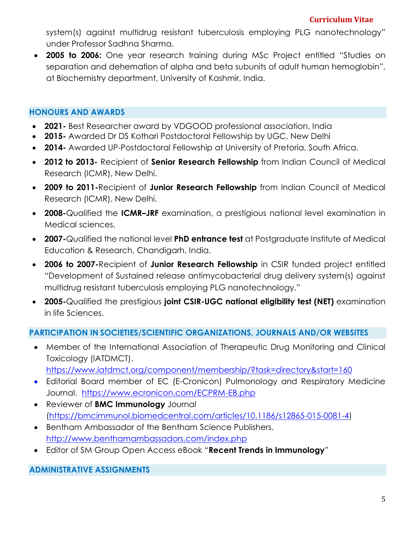system(s) against multidrug resistant tuberculosis employing PLG nanotechnology" under Professor Sadhna Sharma.

 **2005 to 2006:** One year research training during MSc Project entitled "Studies on separation and dehemation of alpha and beta subunits of adult human hemoglobin", at Biochemistry department, University of Kashmir, India.

# **HONOURS AND AWARDS**

- **2021-** Best Researcher award by VDGOOD professional association, India
- **2015-** Awarded Dr DS Kothari Postdoctoral Fellowship by UGC, New Delhi
- **2014-** Awarded UP-Postdoctoral Fellowship at University of Pretoria, South Africa.
- **2012 to 2013-** Recipient of **Senior Research Fellowship** from Indian Council of Medical Research (ICMR), New Delhi.
- **2009 to 2011-**Recipient of **Junior Research Fellowship** from Indian Council of Medical Research (ICMR), New Delhi.
- **2008-**Qualified the **ICMR–JRF** examination, a prestigious national level examination in Medical sciences.
- **2007-**Qualified the national level **PhD entrance test** at Postgraduate Institute of Medical Education & Research, Chandigarh, India.
- **2006 to 2007-**Recipient of **Junior Research Fellowship** in CSIR funded project entitled "Development of Sustained release antimycobacterial drug delivery system(s) against multidrug resistant tuberculosis employing PLG nanotechnology."
- **2005-**Qualified the prestigious **joint CSIR-UGC national eligibility test (NET)** examination in life Sciences.

### **PARTICIPATION IN SOCIETIES/SCIENTIFIC ORGANIZATIONS, JOURNALS AND/OR WEBSITES**

 Member of the International Association of Therapeutic Drug Monitoring and Clinical Toxicology (IATDMCT).

<https://www.iatdmct.org/component/membership/?task=directory&start=160>

- Editorial Board member of EC (E-Cronicon) Pulmonology and Respiratory Medicine Journal. <https://www.ecronicon.com/ECPRM-EB.php>
- Reviewer of **BMC Immunology** Journal [\(https://bmcimmunol.biomedcentral.com/articles/10.1186/s12865-015-0081-4\)](https://bmcimmunol.biomedcentral.com/articles/10.1186/s12865-015-0081-4)
- Bentham Ambassador of the Bentham Science Publishers. <http://www.benthamambassadors.com/index.php>
- Editor of SM Group Open Access eBook "**Recent Trends in Immunology**"

**ADMINISTRATIVE ASSIGNMENTS**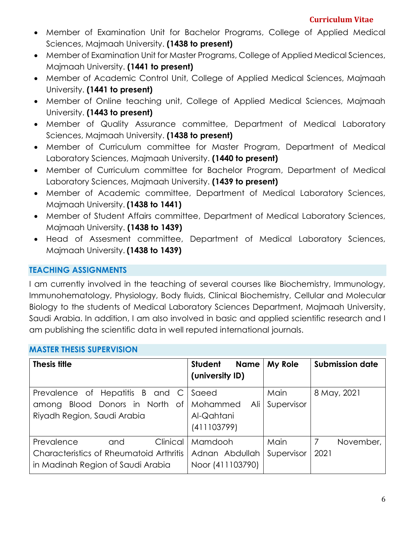- Member of Examination Unit for Bachelor Programs, College of Applied Medical Sciences, Majmaah University. **(1438 to present)**
- Member of Examination Unit for Master Programs, College of Applied Medical Sciences, Majmaah University. **(1441 to present)**
- Member of Academic Control Unit, College of Applied Medical Sciences, Majmaah University. **(1441 to present)**
- Member of Online teaching unit, College of Applied Medical Sciences, Majmaah University. **(1443 to present)**
- Member of Quality Assurance committee, Department of Medical Laboratory Sciences, Majmaah University. **(1438 to present)**
- Member of Curriculum committee for Master Program, Department of Medical Laboratory Sciences, Majmaah University. **(1440 to present)**
- Member of Curriculum committee for Bachelor Program, Department of Medical Laboratory Sciences, Majmaah University. **(1439 to present)**
- Member of Academic committee, Department of Medical Laboratory Sciences, Majmaah University. **(1438 to 1441)**
- Member of Student Affairs committee, Department of Medical Laboratory Sciences, Majmaah University. **(1438 to 1439)**
- Head of Assesment committee, Department of Medical Laboratory Sciences, Majmaah University. **(1438 to 1439)**

# **TEACHING ASSIGNMENTS**

I am currently involved in the teaching of several courses like Biochemistry, Immunology, Immunohematology, Physiology, Body fluids, Clinical Biochemistry, Cellular and Molecular Biology to the students of Medical Laboratory Sciences Department, Majmaah University, Saudi Arabia. In addition, I am also involved in basic and applied scientific research and I am publishing the scientific data in well reputed international journals.

### **MASTER THESIS SUPERVISION**

| <b>Thesis title</b>                     | <b>Student</b><br><b>Name</b><br>(university ID) | My Role    | <b>Submission date</b> |
|-----------------------------------------|--------------------------------------------------|------------|------------------------|
| Prevalence of Hepatitis B and C         | Saeed                                            | Main       | 8 May, 2021            |
| Blood Donors in North of<br>among       | Mohammed<br>Ali                                  | Supervisor |                        |
| Riyadh Region, Saudi Arabia             | Al-Qahtani                                       |            |                        |
|                                         | (411103799)                                      |            |                        |
| Clinical<br>Prevalence<br>and           | Mamdooh                                          | Main       | 7<br>November,         |
| Characteristics of Rheumatoid Arthritis | Adnan Abdullah                                   | Supervisor | 2021                   |
| in Madinah Region of Saudi Arabia       | Noor (411103790)                                 |            |                        |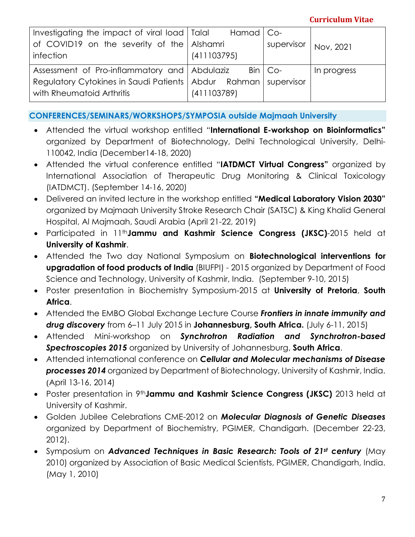| Investigating the impact of viral load   Talal                     | Hamad   Co- |             |             |
|--------------------------------------------------------------------|-------------|-------------|-------------|
| of COVID19 on the severity of the Alshamri<br>infection            | (411103795) | supervisor  | Nov, 2021   |
| Assessment of Pro-inflammatory and Abdulaziz                       |             | $Bin   Co-$ | In progress |
| Regulatory Cytokines in Saudi Patients   Abdur Rahman   supervisor |             |             |             |
| with Rheumatoid Arthritis                                          | (411103789) |             |             |

**CONFERENCES/SEMINARS/WORKSHOPS/SYMPOSIA outside Majmaah University**

- Attended the virtual workshop entitled "**International E-workshop on Bioinformatics"** organized by Department of Biotechnology, Delhi Technological University, Delhi-110042, India (December14-18, 2020)
- Attended the virtual conference entitled "**IATDMCT Virtual Congress"** organized by International Association of Therapeutic Drug Monitoring & Clinical Toxicology (IATDMCT). (September 14-16, 2020)
- Delivered an invited lecture in the workshop entitled **"Medical Laboratory Vision 2030"** organized by Majmaah University Stroke Research Chair (SATSC) & King Khalid General Hospital, Al Majmaah, Saudi Arabia (April 21-22, 2019)
- Participated in 11th**Jammu and Kashmir Science Congress (JKSC)**-2015 held at **University of Kashmir**.
- Attended the Two day National Symposium on **Biotechnological interventions for upgradation of food products of India** (BIUFPI) - 2015 organized by Department of Food Science and Technology, University of Kashmir, India. (September 9-10, 2015)
- Poster presentation in Biochemistry Symposium-2015 at **University of Pretoria**, **South Africa**.
- Attended the EMBO Global Exchange Lecture Course *Frontiers in innate immunity and drug discovery* from 6–11 July 2015 in **Johannesburg, South Africa.** (July 6-11, 2015)
- Attended Mini-workshop on *Synchrotron Radiation and Synchrotron-based Spectroscopies 2015* organized by University of Johannesburg, **South Africa**.
- Attended international conference on *Cellular and Molecular mechanisms of Disease processes 2014* organized by Department of Biotechnology, University of Kashmir, India. (April 13-16, 2014)
- Poster presentation in 9th**Jammu and Kashmir Science Congress (JKSC)** 2013 held at University of Kashmir.
- Golden Jubilee Celebrations CME-2012 on *Molecular Diagnosis of Genetic Diseases* organized by Department of Biochemistry, PGIMER, Chandigarh. (December 22-23, 2012).
- Symposium on *Advanced Techniques in Basic Research: Tools of 21st century* (May 2010) organized by Association of Basic Medical Scientists, PGIMER, Chandigarh, India. (May 1, 2010)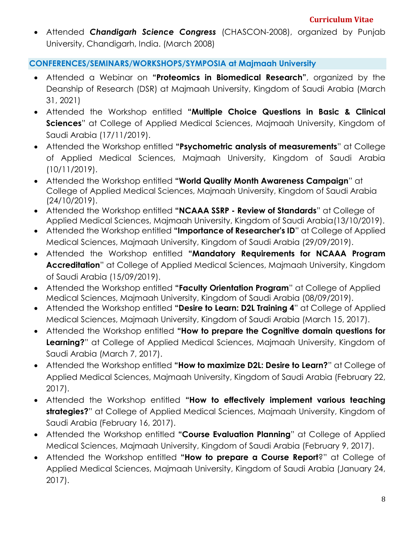Attended *Chandigarh Science Congress* (CHASCON-2008), organized by Punjab University, Chandigarh, India. (March 2008)

## **CONFERENCES/SEMINARS/WORKSHOPS/SYMPOSIA at Majmaah University**

- Attended a Webinar on **"Proteomics in Biomedical Research"**, organized by the Deanship of Research (DSR) at Majmaah University, Kingdom of Saudi Arabia (March 31, 2021)
- Attended the Workshop entitled **"Multiple Choice Questions in Basic & Clinical Sciences**" at College of Applied Medical Sciences, Majmaah University, Kingdom of Saudi Arabia (17/11/2019).
- Attended the Workshop entitled **"Psychometric analysis of measurements**" at College of Applied Medical Sciences, Majmaah University, Kingdom of Saudi Arabia (10/11/2019).
- Attended the Workshop entitled **"World Quality Month Awareness Campaign**" at College of Applied Medical Sciences, Majmaah University, Kingdom of Saudi Arabia (24/10/2019).
- Attended the Workshop entitled **"NCAAA SSRP - Review of Standards**" at College of Applied Medical Sciences, Majmaah University, Kingdom of Saudi Arabia(13/10/2019).
- Attended the Workshop entitled **"Importance of Researcher's ID**" at College of Applied Medical Sciences, Majmaah University, Kingdom of Saudi Arabia (29/09/2019).
- Attended the Workshop entitled **"Mandatory Requirements for NCAAA Program Accreditation**" at College of Applied Medical Sciences, Majmaah University, Kingdom of Saudi Arabia (15/09/2019).
- Attended the Workshop entitled **"Faculty Orientation Program**" at College of Applied Medical Sciences, Majmaah University, Kingdom of Saudi Arabia (08/09/2019).
- Attended the Workshop entitled **"Desire to Learn: D2L Training 4**" at College of Applied Medical Sciences, Majmaah University, Kingdom of Saudi Arabia (March 15, 2017).
- Attended the Workshop entitled **"How to prepare the Cognitive domain questions for Learning?**" at College of Applied Medical Sciences, Majmaah University, Kingdom of Saudi Arabia (March 7, 2017).
- Attended the Workshop entitled **"How to maximize D2L: Desire to Learn?**" at College of Applied Medical Sciences, Majmaah University, Kingdom of Saudi Arabia (February 22, 2017).
- Attended the Workshop entitled **"How to effectively implement various teaching strategies?**" at College of Applied Medical Sciences, Majmaah University, Kingdom of Saudi Arabia (February 16, 2017).
- Attended the Workshop entitled **"Course Evaluation Planning**" at College of Applied Medical Sciences, Majmaah University, Kingdom of Saudi Arabia (February 9, 2017).
- Attended the Workshop entitled **"How to prepare a Course Report**?" at College of Applied Medical Sciences, Majmaah University, Kingdom of Saudi Arabia (January 24, 2017).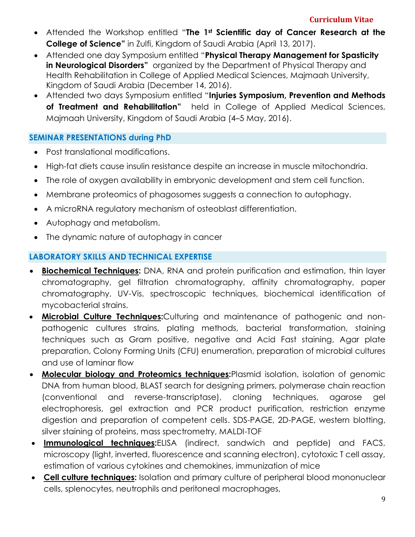- Attended the Workshop entitled "**The 1st Scientific day of Cancer Research at the College of Science"** in Zulfi, Kingdom of Saudi Arabia (April 13, 2017).
- Attended one day Symposium entitled "**Physical Therapy Management for Spasticity in Neurological Disorders"** organized by the Department of Physical Therapy and Health Rehabilitation in College of Applied Medical Sciences, Majmaah University, Kingdom of Saudi Arabia (December 14, 2016).
- Attended two days Symposium entitled "**Injuries Symposium, Prevention and Methods of Treatment and Rehabilitation"** held in College of Applied Medical Sciences, Majmaah University, Kingdom of Saudi Arabia (4–5 May, 2016).

## **SEMINAR PRESENTATIONS during PhD**

- Post translational modifications.
- High-fat diets cause insulin resistance despite an increase in muscle mitochondria.
- The role of oxygen availability in embryonic development and stem cell function.
- Membrane proteomics of phagosomes suggests a connection to autophagy.
- A microRNA regulatory mechanism of osteoblast differentiation.
- Autophagy and metabolism.
- The dynamic nature of autophagy in cancer

# **LABORATORY SKILLS AND TECHNICAL EXPERTISE**

- **Biochemical Techniques:** DNA, RNA and protein purification and estimation, thin layer chromatography, gel filtration chromatography, affinity chromatography, paper chromatography, UV-Vis. spectroscopic techniques, biochemical identification of mycobacterial strains.
- **Microbial Culture Techniques:**Culturing and maintenance of pathogenic and nonpathogenic cultures strains, plating methods, bacterial transformation, staining techniques such as Gram positive, negative and Acid Fast staining, Agar plate preparation, Colony Forming Units (CFU) enumeration, preparation of microbial cultures and use of laminar flow
- **Molecular biology and Proteomics techniques:**Plasmid isolation, isolation of genomic DNA from human blood, BLAST search for designing primers, polymerase chain reaction (conventional and reverse-transcriptase), cloning techniques, agarose gel electrophoresis, gel extraction and PCR product purification, restriction enzyme digestion and preparation of competent cells. SDS-PAGE, 2D-PAGE, western blotting, silver staining of proteins, mass spectrometry, MALDI-TOF
- **Immunological techniques:**ELISA (indirect, sandwich and peptide) and FACS, microscopy (light, inverted, fluorescence and scanning electron), cytotoxic T cell assay, estimation of various cytokines and chemokines, immunization of mice
- **Cell culture techniques:** Isolation and primary culture of peripheral blood mononuclear cells, splenocytes, neutrophils and peritoneal macrophages,